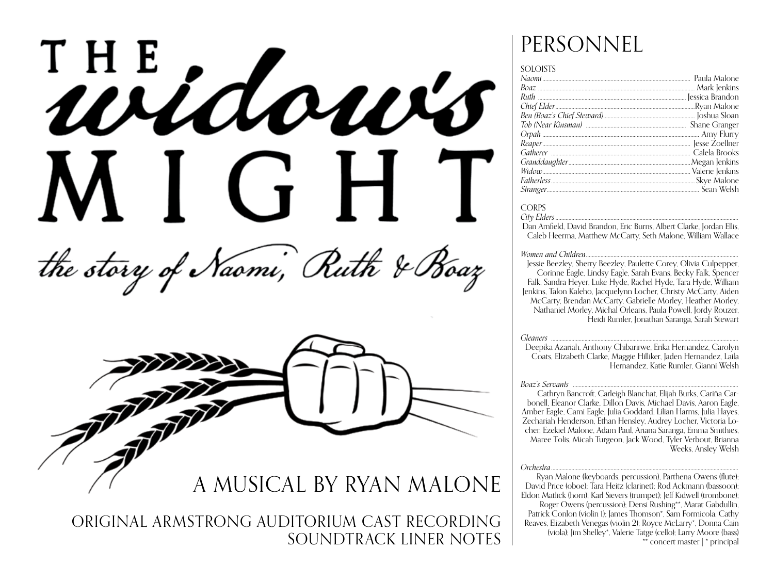



A MUSICAL BY RYAN MALONE

ORIGINAL ARMSTRONG AUDITORIUM CAST RECORDING SOUNDTRACK LINER NOTES

# PERSONNEL

#### **SOLOISTS**

#### **CORPS**

City Elders

Dan Arnfield, David Brandon, Eric Burns, Albert Clarke, Jordan Ellis, Caleb Heerma, Matthew McCarty, Seth Malone, William Wallace

#### Women and Children...

Jessie Beezley, Sherry Beezley, Paulette Corey, Olivia Culpepper,<br>Corinne Eagle, Lindsy Eagle, Sarah Evans, Becky Falk, Spencer Falk. Sandra Hever, Luke Hyde, Rachel Hyde, Tara Hyde, William Jenkins, Talon Kaleho, Jacquelynn Locher, Christy McCarty, Aiden McCarty, Brendan McCarty, Gabrielle Morley, Heather Morley, Nathaniel Morley, Michal Orleans, Paula Powell, Jordy Rouzer, Heidi Rumler. Jonathan Saranga. Sarah Stewart

#### **Gleaners**

Deepika Azariah, Anthony Chibarirwe, Erika Hernandez, Carolyn Coats, Elizabeth Clarke, Maggie Hilliker, Jaden Hernandez, Laila Hernandez, Katie Rumler, Gianni Welsh

#### Boaz's Servants

Cathryn Bancroft, Carleigh Blanchat, Elijah Burks, Cariña Carbonell, Eleanor Clarke, Dillon Davis, Michael Davis, Aaron Eagle, Amber Eagle, Cami Eagle, Julia Goddard, Lilian Harms, Julia Haves. Zechariah Henderson, Ethan Hensley, Audrey Locher, Victoria Locher, Ezekiel Malone, Adam Paul, Ariana Saranga, Emma Smithies, Maree Tolis, Micah Turgeon, Jack Wood, Tyler Verbout, Brianna Weeks, Ansley Welsh

#### Orchestra

Ryan Malone (keyboards, percussion), Parthena Owens (flute): David Price (oboe); Tara Heitz (clarinet); Rod Ackmann (bassoon); Eldon Matlick (horn); Karl Sievers (trumpet); Jeff Kidwell (trombone); Roger Owens (percussion); Densi Rushing\*\*, Marat Gabdullin, Patrick Conlon (violin 1); James Thomson\*, Sam Formicola, Cathy Reaves, Elizabeth Venegas (violin 2); Royce McLarry\*, Donna Cain (viola); Jim Shelley\*, Valerie Tatge (cello); Larry Moore (bass) \*\* concert master | \* principal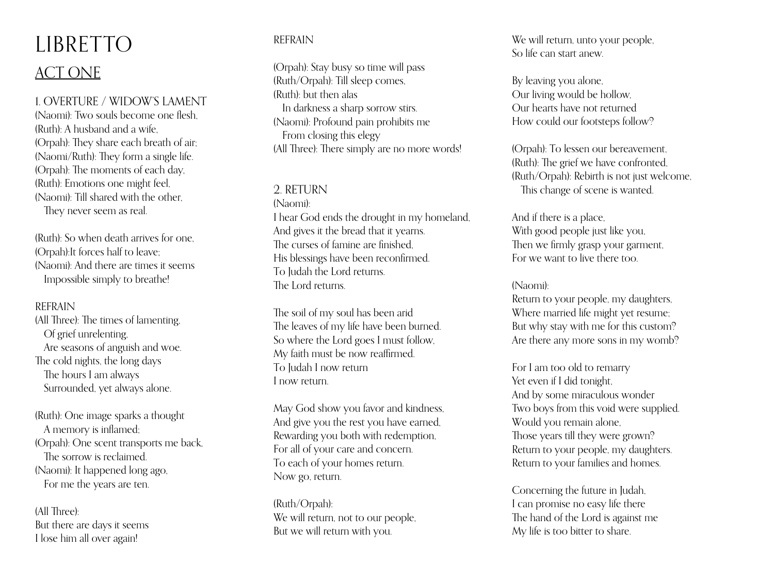# LIBRETTO ACT ONE

1. OVERTURE / WIDOW'S LAMENT

(Naomi): Two souls become one flesh,  $(Ruth)$ : A husband and a wife (Orpah): They share each breath of air; (Naomi/Ruth): They form a single life. (Orpah): The moments of each day, (Ruth): Emotions one might feel, (Naomi): Till shared with the other, They never seem as real.

(Ruth): So when death arrives for one, (Orpah):It forces half to leave; (Naomi): And there are times it seems Impossible simply to breathe!

# REFRAIN

(All Three): The times of lamenting, Of grief unrelenting, Are seasons of anguish and woe. The cold nights, the long days The hours I am always Surrounded, yet always alone.

(Ruth): One image sparks a thought A memory is inflamed; (Orpah): One scent transports me back, The sorrow is reclaimed. (Naomi): It happened long ago, For me the years are ten.

(All Three): But there are days it seems I lose him all over again!

# REFRAIN

(Orpah): Stay busy so time will pass (Ruth/Orpah): Till sleep comes, (Ruth): but then alas In darkness a sharp sorrow stirs. (Naomi): Profound pain prohibits me From closing this elegy (All Three): There simply are no more words!

# 2. RETURN

(Naomi): I hear God ends the drought in my homeland, And gives it the bread that it yearns. The curses of famine are finished, His blessings have been reconfirmed. To Judah the Lord returns. The Lord returns.

The soil of my soul has been arid The leaves of my life have been burned. So where the Lord goes I must follow, My faith must be now reaffirmed. To Judah I now return I now return.

May God show you favor and kindness, And give you the rest you have earned, Rewarding you both with redemption, For all of your care and concern. To each of your homes return. Now go, return.

(Ruth/Orpah): We will return, not to our people, But we will return with you.

We will return, unto your people. So life can start anew.

By leaving you alone, Our living would be hollow, Our hearts have not returned How could our footsteps follow?

(Orpah): To lessen our bereavement, (Ruth): The grief we have confronted, (Ruth/Orpah): Rebirth is not just welcome, This change of scene is wanted.

And if there is a place, With good people just like you, Then we firmly grasp your garment, For we want to live there too.

## (Naomi):

Return to your people, my daughters, Where married life might yet resume; But why stay with me for this custom? Are there any more sons in my womb?

For I am too old to remarry Yet even if I did tonight, And by some miraculous wonder Two boys from this void were supplied. Would you remain alone, Those years till they were grown? Return to your people, my daughters. Return to your families and homes.

Concerning the future in Judah, I can promise no easy life there The hand of the Lord is against me My life is too bitter to share.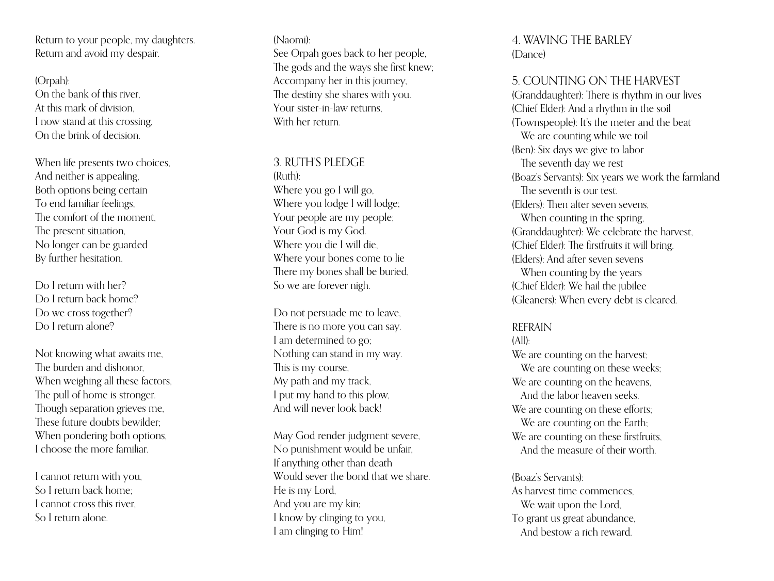Return to your people, my daughters. Return and avoid my despair.

(Orpah): On the bank of this river, At this mark of division, I now stand at this crossing, On the brink of decision.

When life presents two choices. And neither is appealing, Both options being certain To end familiar feelings, The comfort of the moment, The present situation, No longer can be guarded By further hesitation.

Do I return with her? Do I return back home? Do we cross together? Do I return alone?

Not knowing what awaits me, The burden and dishonor, When weighing all these factors, The pull of home is stronger. Though separation grieves me, These future doubts bewilder: When pondering both options, I choose the more familiar.

I cannot return with you, So I return back home; I cannot cross this river, So I return alone.

(Naomi): See Orpah goes back to her people, The gods and the ways she first knew; Accompany her in this journey, The destiny she shares with you. Your sister-in-law returns, With her return.

# 3. RUTH'S PLEDGE

(Ruth): Where you go I will go, Where you lodge I will lodge; Your people are my people; Your God is my God. Where you die I will die, Where your bones come to lie There my bones shall be buried, So we are forever nigh.

Do not persuade me to leave, There is no more you can say. I am determined to go; Nothing can stand in my way. This is my course, My path and my track, I put my hand to this plow, And will never look back!

May God render judgment severe, No punishment would be unfair, If anything other than death Would sever the bond that we share. He is my Lord, And you are my kin; I know by clinging to you, I am clinging to Him!

4. WAVING THE BARLE Y (Dance)

# 5. COUNTING ON THE HARVEST

(Granddaughter): There is rhythm in our lives (Chief Elder): And a rhythm in the soil (Townspeople): It's the meter and the beat We are counting while we toil (Ben): Six days we give to labor The seventh day we rest (Boaz's Servants): Six years we work the farmland The seventh is our test. (Elders): Then after seven sevens, When counting in the spring, (Granddaughter): We celebrate the harvest, (Chief Elder): The firstfruits it will bring. (Elders): And after seven sevens When counting by the years (Chief Elder): We hail the jubilee (Gleaners): When every debt is cleared.

#### REFRAIN

 $(A||)$ :

We are counting on the harvest; We are counting on these weeks; We are counting on the heavens. And the labor heaven seeks. We are counting on these efforts; We are counting on the Earth; We are counting on these first fruits, And the measure of their worth.

### (Boaz's Servants):

As harvest time commences, We wait upon the Lord. To grant us great abundance, And bestow a rich reward.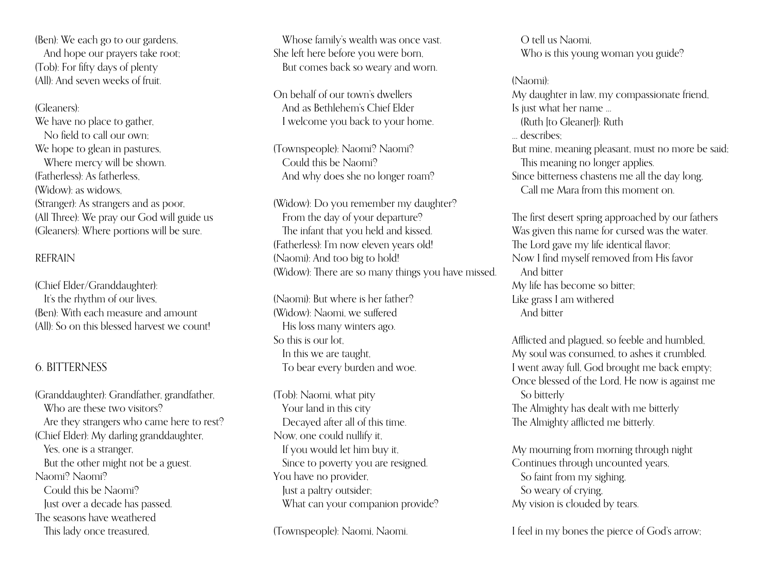(Ben): We each go to our gardens, And hope our prayers take root; (Tob): For fifty days of plenty (All): And seven weeks of fruit.

(Gleaners): We have no place to gather. No field to call our own; We hope to glean in pastures, Where mercy will be shown. (Fatherless): As fatherless, (Widow): as widows, (Stranger): As strangers and as poor, (All Three): We pray our God will guide us (Gleaners): Where portions will be sure.

## REFRAIN

(Chief Elder/Granddaughter): It's the rhythm of our lives, (Ben): With each measure and amount (All): So on this blessed harvest we count!

# 6. BITTERNESS

(Granddaughter): Grandfather, grandfather, Who are these two visitors<sup>9</sup> Are they strangers who came here to rest? (Chief Elder): My darling granddaughter, Yes, one is a stranger, But the other might not be a guest. Naomi? Naomi? Could this be Naomi? Just over a decade has passed. The seasons have weathered This lady once treasured,

Whose family's wealth was once vast. She left here before you were born, But comes back so weary and worn.

On behalf of our town's dwellers And as Bethlehem's Chief Elder I welcome you back to your home.

(Townspeople): Naomi? Naomi? Could this be Naomi? And why does she no longer roam?

(Widow): Do you remember my daughter? From the day of your departure? The infant that you held and kissed. (Fatherless): I'm now eleven years old! (Naomi): And too big to hold! (Widow): There are so many things you have missed.

(Naomi): But where is her father? (Widow): Naomi, we suffered His loss many winters ago. So this is our lot, In this we are taught, To bear every burden and woe.

(Tob): Naomi, what pity Your land in this city Decayed after all of this time. Now, one could nullify it, If you would let him buy it, Since to poverty you are resigned. You have no provider, Just a paltry outsider; What can your companion provide?

(Townspeople): Naomi, Naomi.

O tell us Naomi, Who is this young woman you guide?

(Naomi): My daughter in law, my compassionate friend, Is just what her name … (Ruth [to Gleaner]): Ruth … describes; But mine, meaning pleasant, must no more be said; This meaning no longer applies. Since bitterness chastens me all the day long, Call me Mara from this moment on.

The first desert spring approached by our fathers Was given this name for cursed was the water. The Lord gave my life identical flavor; Now I find myself removed from His favor And bitter My life has become so bitter; Like grass I am withered And bitter

Afflicted and plagued, so feeble and humbled, My soul was consumed, to ashes it crumbled. I went away full, God brought me back empty; Once blessed of the Lord, He now is against me So bitterly The Almighty has dealt with me bitterly The Almighty afflicted me bitterly.

My mourning from morning through night Continues through uncounted years, So faint from my sighing, So weary of crying, My vision is clouded by tears.

I feel in my bones the pierce of God's arrow;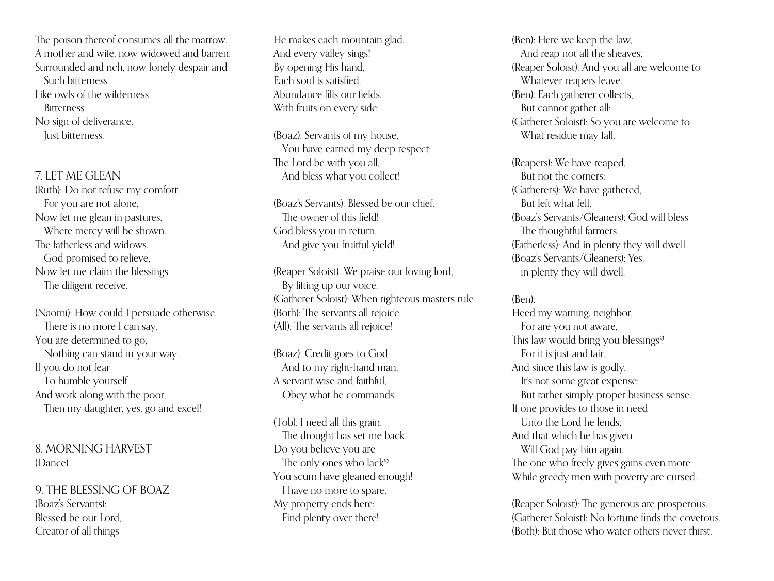The poison thereof consumes all the marrow. A mother and wife, now widowed and barren; Surrounded and rich, now lonely despair and Such bitterness Like owls of the wilderness **Bitterness** No sign of deliverance, Just bitterness.

7. LET ME GLEAN

(Ruth): Do not refuse my comfort, For you are not alone, Now let me glean in pastures, Where mercy will be shown. The fatherless and widows, God promised to relieve, Now let me claim the blessings The diligent receive.

(Naomi): How could I persuade otherwise, There is no more I can say. You are determined to go; Nothing can stand in your way. If you do not fear To humble yourself And work along with the poor, Then my daughter, yes, go and excel!

8. MORNING HARVEST (Dance)

9. THE BLESSING OF BOAZ (Boaz's Servants): Blessed be our Lord, Creator of all things

He makes each mountain glad, And every valley sings! By opening His hand, Each soul is satisfied. Abundance fills our fields, With fruits on every side.

(Boaz): Servants of my house, You have earned my deep respect: The Lord be with you all, And bless what you collect!

(Boaz's Servants): Blessed be our chief, The owner of this field! God bless you in return, And give you fruitful yield!

(Reaper Soloist): We praise our loving lord, By lifting up our voice. (Gatherer Soloist): When righteous masters rule (Both): The servants all rejoice. (All): The servants all rejoice!

(Boaz): Credit goes to God And to my right-hand man, A servant wise and faithful, Obey what he commands.

(Tob): I need all this grain, The drought has set me back. Do you believe you are The only ones who lack? You scum have gleaned enough! I have no more to spare; My property ends here; Find plenty over there!

(Ben): Here we keep the law, And reap not all the sheaves; (Reaper Soloist): And you all are welcome to Whatever reapers leave. (Ben): Each gatherer collects, But cannot gather all; (Gatherer Soloist): So you are welcome to What residue may fall.

(Reapers): We have reaped, But not the corners; (Gatherers): We have gathered, But left what fell; (Boaz's Servants/Gleaners): God will bless The thoughtful farmers. (Fatherless): And in plenty they will dwell. (Boaz's Servants/Gleaners): Yes, in plenty they will dwell.

## (Ben):

Heed my warning, neighbor, For are you not aware, This law would bring you blessings? For it is just and fair. And since this law is godly, It's not some great expense; But rather simply proper business sense. If one provides to those in need Unto the Lord he lends; And that which he has given Will God pay him again. The one who freely gives gains even more While greedy men with poverty are cursed.

(Reaper Soloist): The generous are prosperous, (Gatherer Soloist): No fortune finds the covetous, (Both): But those who water others never thirst.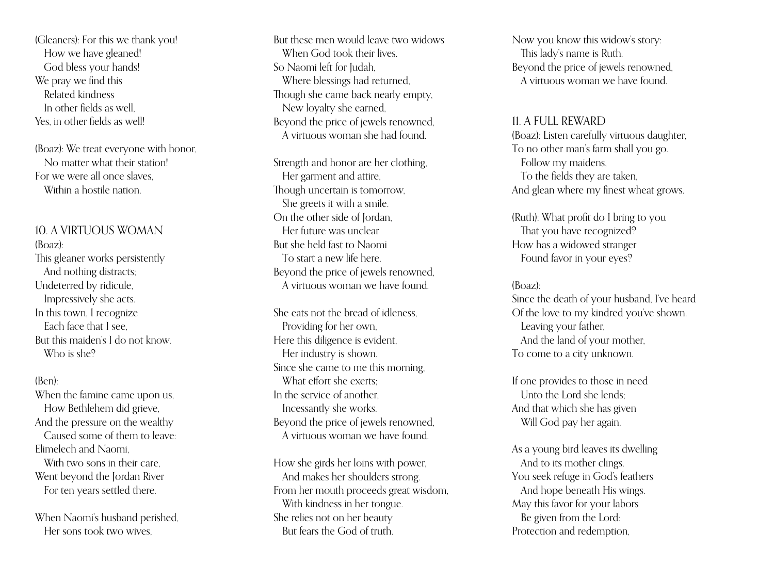(Gleaners): For this we thank you! How we have gleaned! God bless your hands! We pray we find this Related kindness In other fields as well, Yes, in other fields as well!

(Boaz): We treat everyone with honor, No matter what their station! For we were all once slaves, Within a hostile nation.

# 10. A VIRTUOUS WOMAN

(Boaz): This gleaner works persistently And nothing distracts; Undeterred by ridicule, Impressively she acts. In this town, I recognize Each face that I see, But this maiden's I do not know. Who is she<sup>9</sup>

#### (Ben):

When the famine came upon us, How Bethlehem did grieve, And the pressure on the wealthy Caused some of them to leave: Elimelech and Naomi, With two sons in their care Went beyond the Jordan River For ten years settled there.

When Naomi's husband perished, Her sons took two wives,

But these men would leave two widows When God took their lives. So Naomi left for Judah, Where blessings had returned, Though she came back nearly empty, New loyalty she earned, Beyond the price of jewels renowned, A virtuous woman she had found.

Strength and honor are her clothing, Her garment and attire, Though uncertain is tomorrow, She greets it with a smile. On the other side of Jordan, Her future was unclear But she held fast to Naomi To start a new life here. Beyond the price of jewels renowned, A virtuous woman we have found.

She eats not the bread of idleness, Providing for her own, Here this diligence is evident, Her industry is shown. Since she came to me this morning, What effort she exerts: In the service of another, Incessantly she works. Beyond the price of jewels renowned, A virtuous woman we have found.

How she girds her loins with power, And makes her shoulders strong. From her mouth proceeds great wisdom, With kindness in her tongue. She relies not on her beauty But fears the God of truth.

Now you know this widow's story: This lady's name is Ruth. Beyond the price of jewels renowned, A virtuous woman we have found.

#### 11. A FULL REWARD

(Boaz): Listen carefully virtuous daughter, To no other man's farm shall you go. Follow my maidens, To the fields they are taken, And glean where my finest wheat grows.

(Ruth): What profit do I bring to you That you have recognized? How has a widowed stranger Found favor in your eyes?

#### (Boaz):

Since the death of your husband, I've heard Of the love to my kindred you've shown. Leaving your father, And the land of your mother, To come to a city unknown.

If one provides to those in need Unto the Lord she lends; And that which she has given Will God pay her again.

As a young bird leaves its dwelling And to its mother clings. You seek refuge in God's feathers And hope beneath His wings. May this favor for your labors Be given from the Lord: Protection and redemption,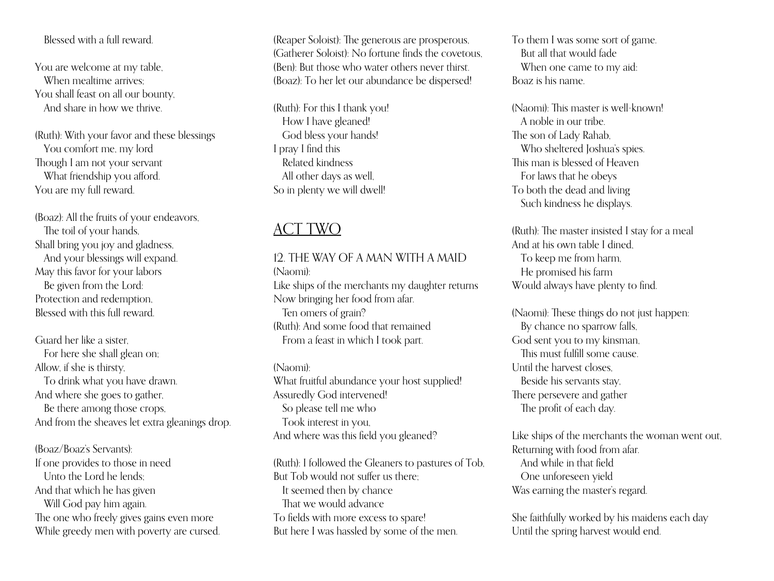# Blessed with a full reward.

You are welcome at my table, When mealtime arrives: You shall feast on all our bounty, And share in how we thrive.

(Ruth): With your favor and these blessings You comfort me, my lord Though I am not your servant What friendship you afford. You are my full reward.

(Boaz): All the fruits of your endeavors, The toil of your hands, Shall bring you joy and gladness, And your blessings will expand. May this favor for your labors Be given from the Lord: Protection and redemption, Blessed with this full reward.

Guard her like a sister, For here she shall glean on; Allow, if she is thirsty, To drink what you have drawn. And where she goes to gather, Be there among those crops, And from the sheaves let extra gleanings drop.

(Boaz/Boaz's Servants): If one provides to those in need Unto the Lord he lends; And that which he has given Will God pay him again. The one who freely gives gains even more While greedy men with poverty are cursed. (Reaper Soloist): The generous are prosperous, (Gatherer Soloist): No fortune finds the covetous, (Ben): But those who water others never thirst. (Boaz): To her let our abundance be dispersed!

(Ruth): For this I thank you! How I have gleaned! God bless your hands! I pray I find this Related kindness All other days as well, So in plenty we will dwell!

# ACT TWO

# 12. THE WAY OF A MAN WITH A MAID

(Naomi): Like ships of the merchants my daughter returns Now bringing her food from afar. Ten omers of grain? (Ruth): And some food that remained From a feast in which I took part.

(Naomi): What fruitful abundance your host supplied! Assuredly God intervened! So please tell me who Took interest in you, And where was this field you gleaned?

(Ruth): I followed the Gleaners to pastures of Tob, But Tob would not suffer us there; It seemed then by chance That we would advance To fields with more excess to spare! But here I was hassled by some of the men.

To them I was some sort of game. But all that would fade When one came to my aid: Boaz is his name.

(Naomi): This master is well-known! A noble in our tribe. The son of Lady Rahab, Who sheltered Joshua's spies. This man is blessed of Heaven For laws that he obeys To both the dead and living Such kindness he displays.

(Ruth): The master insisted I stay for a meal And at his own table I dined, To keep me from harm, He promised his farm Would always have plenty to find.

(Naomi): These things do not just happen: By chance no sparrow falls, God sent you to my kinsman, This must fulfill some cause. Until the harvest closes, Beside his servants stay, There persevere and gather The profit of each day.

Like ships of the merchants the woman went out, Returning with food from afar. And while in that field One unforeseen yield Was earning the master's regard.

She faithfully worked by his maidens each day Until the spring harvest would end.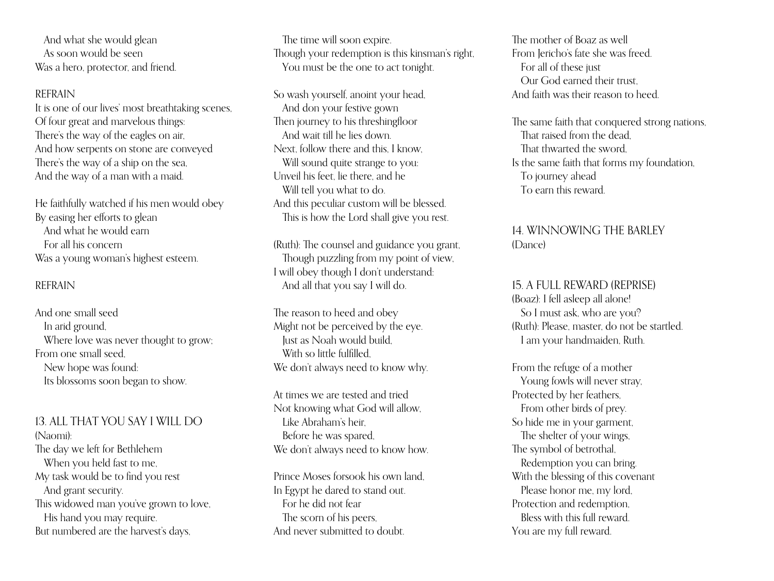And what she would glean As soon would be seen Was a hero, protector, and friend.

#### REFRAIN

It is one of our lives' most breathtaking scenes, Of four great and marvelous things: There's the way of the eagles on air, And how serpents on stone are conveyed There's the way of a ship on the sea, And the way of a man with a maid.

He faithfully watched if his men would obey By easing her efforts to glean And what he would earn For all his concern Was a young woman's highest esteem.

#### REFRAIN

And one small seed In arid ground, Where love was never thought to grow; From one small seed, New hope was found: Its blossoms soon began to show.

13. ALL THAT YOU SAY I WILL DO (Naomi): The day we left for Bethlehem When you held fast to me, My task would be to find you rest And grant security. This widowed man you've grown to love, His hand you may require. But numbered are the harvest's days,

The time will soon expire. Though your redemption is this kinsman's right, You must be the one to act tonight.

So wash yourself, anoint your head, And don your festive gown Then journey to his threshingfloor And wait till he lies down. Next, follow there and this, I know, Will sound quite strange to you: Unveil his feet, lie there, and he Will tell you what to do. And this peculiar custom will be blessed. This is how the Lord shall give you rest.

(Ruth): The counsel and guidance you grant, Though puzzling from my point of view, I will obey though I don't understand: And all that you say I will do.

The reason to heed and obey Might not be perceived by the eye. Just as Noah would build, With so little fulfilled We don't always need to know why.

At times we are tested and tried Not knowing what God will allow, Like Abraham's heir, Before he was spared, We don't always need to know how.

Prince Moses forsook his own land, In Egypt he dared to stand out. For he did not fear The scorn of his peers, And never submitted to doubt.

The mother of Boaz as well From Jericho's fate she was freed. For all of these just Our God earned their trust, And faith was their reason to heed.

The same faith that conquered strong nations, That raised from the dead, That thwarted the sword, Is the same faith that forms my foundation, To journey ahead To earn this reward.

# 14. WINNOWING THE BARLEY (Dance)

15. A FULL REWARD (REPRISE) (Boaz): I fell asleep all alone! So I must ask, who are you? (Ruth): Please, master, do not be startled. I am your handmaiden, Ruth.

From the refuge of a mother Young fowls will never stray, Protected by her feathers, From other birds of prey. So hide me in your garment, The shelter of your wings, The symbol of betrothal, Redemption you can bring. With the blessing of this covenant Please honor me, my lord, Protection and redemption, Bless with this full reward. You are my full reward.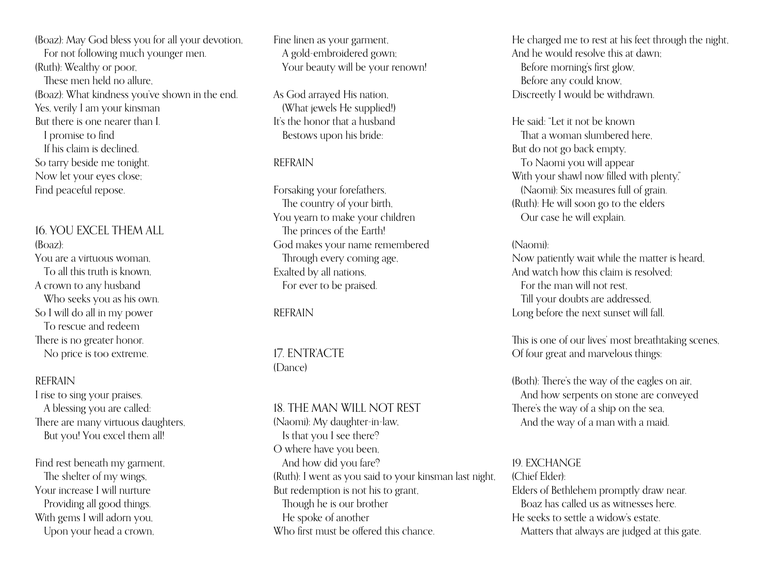(Boaz): May God bless you for all your devotion, For not following much younger men. (Ruth): Wealthy or poor, These men held no allure, (Boaz): What kindness you've shown in the end. Yes, verily I am your kinsman But there is one nearer than I. I promise to find If his claim is declined. So tarry beside me tonight. Now let your eyes close; Find peaceful repose.

# 16. YOU EXCEL THEM ALL (Boaz): You are a virtuous woman, To all this truth is known, A crown to any husband Who seeks you as his own. So I will do all in my power To rescue and redeem There is no greater honor.

No price is too extreme.

# REFRAIN

I rise to sing your praises. A blessing you are called: There are many virtuous daughters, But you! You excel them all!

Find rest beneath my garment, The shelter of my wings, Your increase I will nurture Providing all good things. With gems I will adorn you, Upon your head a crown,

Fine linen as your garment, A gold-embroidered gown; Your beauty will be your renown!

As God arrayed His nation, (What jewels He supplied!) It's the honor that a husband Bestows upon his bride:

# REFRAIN

Forsaking your forefathers, The country of your birth, You yearn to make your children The princes of the Earth! God makes your name remembered Through every coming age, Exalted by all nations, For ever to be praised.

REFRAIN

17. ENTR'ACTE (Dance)

# 18. THE MAN WILL NOT REST

(Naomi): My daughter-in-law, Is that you I see there? O where have you been, And how did you fare? (Ruth): I went as you said to your kinsman last night, But redemption is not his to grant, Though he is our brother He spoke of another Who first must be offered this chance.

He charged me to rest at his feet through the night, And he would resolve this at dawn; Before morning's first glow, Before any could know, Discreetly I would be withdrawn.

He said: "Let it not be known That a woman slumbered here, But do not go back empty, To Naomi you will appear With your shawl now filled with plenty," (Naomi): Six measures full of grain. (Ruth): He will soon go to the elders Our case he will explain.

#### (Naomi):

Now patiently wait while the matter is heard, And watch how this claim is resolved; For the man will not rest, Till your doubts are addressed, Long before the next sunset will fall.

This is one of our lives' most breathtaking scenes, Of four great and marvelous things:

(Both): There's the way of the eagles on air, And how serpents on stone are conveyed There's the way of a ship on the sea, And the way of a man with a maid.

19. EXCHANGE (Chief Elder): Elders of Bethlehem promptly draw near. Boaz has called us as witnesses here. He seeks to settle a widow's estate. Matters that always are judged at this gate.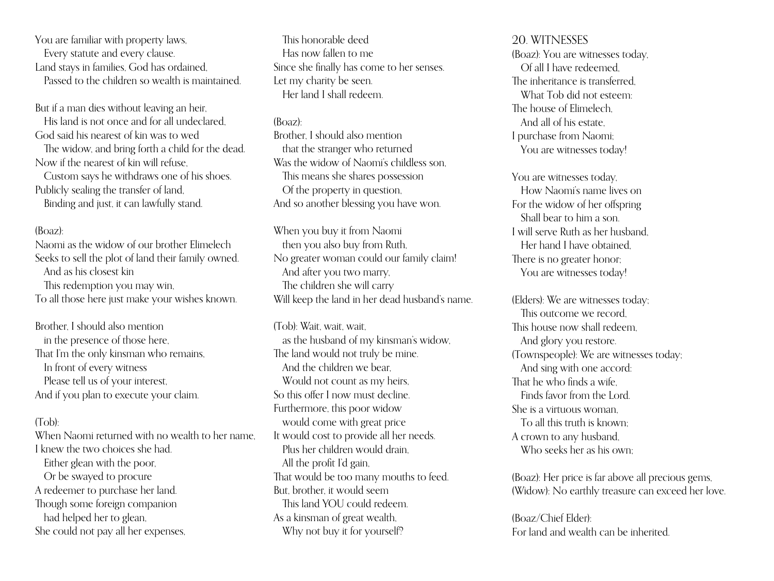You are familiar with property laws, Every statute and every clause. Land stays in families, God has ordained, Passed to the children so wealth is maintained.

But if a man dies without leaving an heir, His land is not once and for all undeclared, God said his nearest of kin was to wed The widow, and bring forth a child for the dead.

Now if the nearest of kin will refuse,

Custom says he withdraws one of his shoes. Publicly sealing the transfer of land, Binding and just, it can lawfully stand.

#### (Boaz):

Naomi as the widow of our brother Elimelech Seeks to sell the plot of land their family owned. And as his closest kin This redemption you may win, To all those here just make your wishes known.

Brother, I should also mention in the presence of those here, That I'm the only kinsman who remains, In front of every witness Please tell us of your interest, And if you plan to execute your claim.

# (Tob):

When Naomi returned with no wealth to her name. I knew the two choices she had. Either glean with the poor, Or be swayed to procure A redeemer to purchase her land. Though some foreign companion had helped her to glean, She could not pay all her expenses,

This honorable deed Has now fallen to me Since she finally has come to her senses. Let my charity be seen. Her land I shall redeem.

#### (Boaz):

Brother, I should also mention that the stranger who returned Was the widow of Naomi's childless son, This means she shares possession Of the property in question, And so another blessing you have won.

When you buy it from Naomi then you also buy from Ruth, No greater woman could our family claim! And after you two marry, The children she will carry Will keep the land in her dead husband's name.

(Tob)<sup>.</sup> Wait, wait, wait as the husband of my kinsman's widow, The land would not truly be mine. And the children we bear, Would not count as my heirs, So this offer I now must decline. Furthermore, this poor widow would come with great price It would cost to provide all her needs. Plus her children would drain, All the profit I'd gain, That would be too many mouths to feed. But, brother, it would seem This land YOU could redeem. As a kinsman of great wealth, Why not buy it for yourself?

#### 20. WITNESSES

(Boaz): You are witnesses today, Of all I have redeemed, The inheritance is transferred, What Tob did not esteem: The house of Elimelech, And all of his estate, I purchase from Naomi; You are witnesses today!

You are witnesses today, How Naomi's name lives on For the widow of her offspring Shall bear to him a son. I will serve Ruth as her husband, Her hand I have obtained, There is no greater honor; You are witnesses today!

(Elders): We are witnesses today; This outcome we record, This house now shall redeem, And glory you restore. (Townspeople): We are witnesses today; And sing with one accord: That he who finds a wife, Finds favor from the Lord. She is a virtuous woman, To all this truth is known; A crown to any husband, Who seeks her as his own;

(Boaz): Her price is far above all precious gems, (Widow): No earthly treasure can exceed her love.

(Boaz/Chief Elder): For land and wealth can be inherited.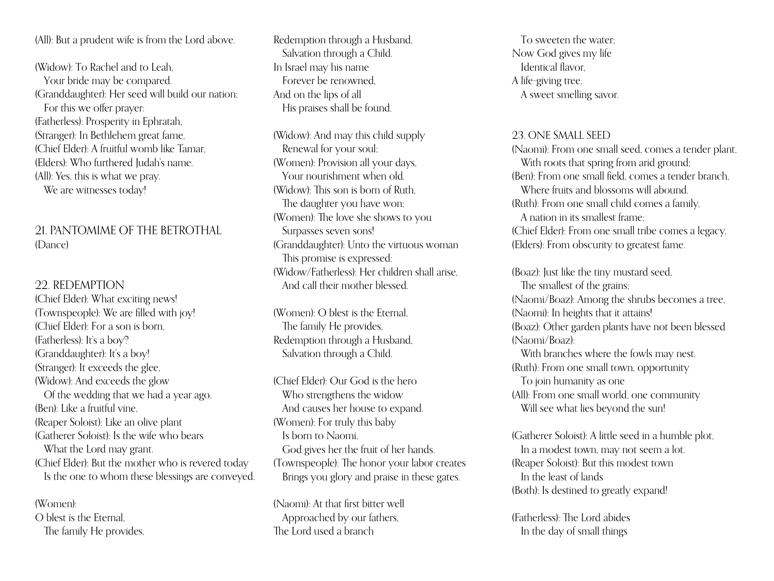(All): But a prudent wife is from the Lord above.

(Widow): To Rachel and to Leah, Your bride may be compared. (Granddaughter): Her seed will build our nation; For this we offer prayer: (Fatherless): Prosperity in Ephratah, (Stranger): In Bethlehem great fame, (Chief Elder): A fruitful womb like Tamar, (Elders): Who furthered Judah's name. (All): Yes, this is what we pray. We are witnesses today!

# 21. PANTOMIME OF THE BETROTHAL (Dance)

# 22. REDEMPTION

(Chief Elder): What exciting news! (Townspeople): We are filled with joy! (Chief Elder): For a son is born, (Fatherless): It's a boy? (Granddaughter): It's a boy! (Stranger): It exceeds the glee, (Widow): And exceeds the glow Of the wedding that we had a year ago. (Ben): Like a fruitful vine, (Reaper Soloist): Like an olive plant (Gatherer Soloist): Is the wife who bears What the Lord may grant. (Chief Elder): But the mother who is revered today Is the one to whom these blessings are conveyed.

(Women): O blest is the Eternal, The family He provides, Redemption through a Husband, Salvation through a Child. In Israel may his name Forever be renowned, And on the lips of all His praises shall be found.

(Widow): And may this child supply Renewal for your soul; (Women): Provision all your days, Your nourishment when old. (Widow): This son is born of Ruth, The daughter you have won; (Women): The love she shows to you Surpasses seven sons! (Granddaughter): Unto the virtuous woman This promise is expressed: (Widow/Fatherless): Her children shall arise, And call their mother blessed.

(Women): O blest is the Eternal, The family He provides, Redemption through a Husband, Salvation through a Child.

(Chief Elder): Our God is the hero Who strengthens the widow And causes her house to expand. (Women): For truly this baby Is born to Naomi, God gives her the fruit of her hands. (Townspeople): The honor your labor creates Brings you glory and praise in these gates.

(Naomi): At that first bitter well Approached by our fathers, The Lord used a branch

To sweeten the water; Now God gives my life Identical flavor, A life-giving tree, A sweet smelling savor.

## 23. ONE SMALL SEED

(Naomi): From one small seed, comes a tender plant, With roots that spring from arid ground; (Ben): From one small field, comes a tender branch, Where fruits and blossoms will abound. (Ruth): From one small child comes a family, A nation in its smallest frame; (Chief Elder): From one small tribe comes a legacy, (Elders): From obscurity to greatest fame.

(Boaz): Just like the tiny mustard seed, The smallest of the grains; (Naomi/Boaz): Among the shrubs becomes a tree, (Naomi): In heights that it attains! (Boaz): Other garden plants have not been blessed (Naomi/Boaz): With branches where the fowls may nest. (Ruth): From one small town, opportunity To join humanity as one (All): From one small world, one community

Will see what lies beyond the sun!

(Gatherer Soloist): A little seed in a humble plot, In a modest town, may not seem a lot. (Reaper Soloist): But this modest town In the least of lands (Both): Is destined to greatly expand!

(Fatherless): The Lord abides In the day of small things